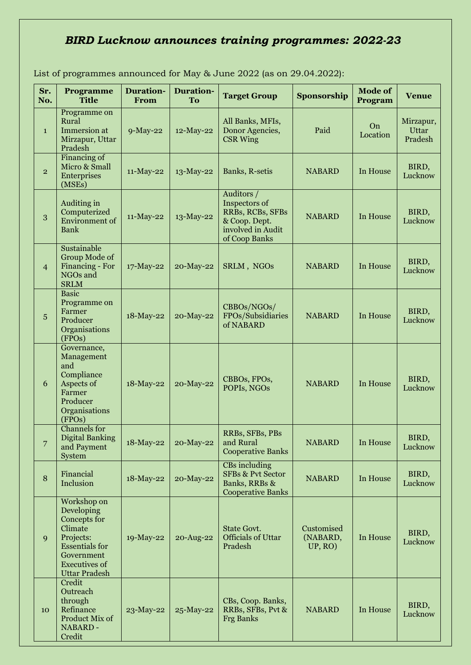## *BIRD Lucknow announces training programmes: 2022-23*

| Sr.<br>No.     | Programme<br><b>Title</b>                                                                                                                                | <b>Duration-</b><br>From | <b>Duration-</b><br>To | <b>Target Group</b>                                                                                    | Sponsorship                       | <b>Mode of</b><br>Program | <b>Venue</b>                         |
|----------------|----------------------------------------------------------------------------------------------------------------------------------------------------------|--------------------------|------------------------|--------------------------------------------------------------------------------------------------------|-----------------------------------|---------------------------|--------------------------------------|
| $\mathbf{1}$   | Programme on<br>Rural<br>Immersion at<br>Mirzapur, Uttar<br>Pradesh                                                                                      | 9-May-22                 | 12-May-22              | All Banks, MFIs,<br>Donor Agencies,<br><b>CSR Wing</b>                                                 | Paid                              | On<br>Location            | Mirzapur,<br><b>Uttar</b><br>Pradesh |
| $\overline{2}$ | Financing of<br>Micro & Small<br>Enterprises<br>(MSEs)                                                                                                   | 11-May-22                | 13-May-22              | Banks, R-setis                                                                                         | <b>NABARD</b>                     | In House                  | BIRD,<br>Lucknow                     |
| 3              | Auditing in<br>Computerized<br><b>Environment</b> of<br>Bank                                                                                             | 11-May-22                | 13-May-22              | Auditors /<br>Inspectors of<br>RRBs, RCBs, SFBs<br>& Coop. Dept.<br>involved in Audit<br>of Coop Banks | <b>NABARD</b>                     | In House                  | BIRD,<br>Lucknow                     |
| $\overline{4}$ | Sustainable<br>Group Mode of<br>Financing - For<br>NGOs and<br><b>SRLM</b>                                                                               | 17-May-22                | 20-May-22              | SRLM, NGOs                                                                                             | <b>NABARD</b>                     | In House                  | BIRD,<br>Lucknow                     |
| 5              | <b>Basic</b><br>Programme on<br>Farmer<br>Producer<br>Organisations<br>(FPOs)                                                                            | 18-May-22                | 20-May-22              | CBBOs/NGOs/<br>FPOs/Subsidiaries<br>of NABARD                                                          | <b>NABARD</b>                     | In House                  | BIRD,<br>Lucknow                     |
| 6              | Governance,<br>Management<br>and<br>Compliance<br>Aspects of<br>Farmer<br>Producer<br>Organisations<br>(FPOs)                                            | 18-May-22                | 20-May-22              | CBBOs, FPOs,<br>POPIs, NGOs                                                                            | <b>NABARD</b>                     | In House                  | BIRD,<br>Lucknow                     |
| 7              | Channels for<br><b>Digital Banking</b><br>and Payment<br>System                                                                                          | 18-May-22                | 20-May-22              | RRBs, SFBs, PBs<br>and Rural<br><b>Cooperative Banks</b>                                               | <b>NABARD</b>                     | In House                  | BIRD,<br>Lucknow                     |
| 8              | Financial<br>Inclusion                                                                                                                                   | 18-May-22                | 20-May-22              | CBs including<br><b>SFBs &amp; Pvt Sector</b><br>Banks, RRBs &<br><b>Cooperative Banks</b>             | <b>NABARD</b>                     | In House                  | BIRD,<br>Lucknow                     |
| 9              | Workshop on<br>Developing<br>Concepts for<br>Climate<br>Projects:<br><b>Essentials</b> for<br>Government<br><b>Executives of</b><br><b>Uttar Pradesh</b> | 19-May-22                | 20-Aug-22              | <b>State Govt.</b><br><b>Officials of Uttar</b><br>Pradesh                                             | Customised<br>(NABARD,<br>UP, RO) | In House                  | BIRD,<br>Lucknow                     |
| 10             | Credit<br>Outreach<br>through<br>Refinance<br>Product Mix of<br>NABARD-<br>Credit                                                                        | 23-May-22                | 25-May-22              | CBs, Coop. Banks,<br>RRBs, SFBs, Pvt &<br><b>Frg Banks</b>                                             | <b>NABARD</b>                     | In House                  | BIRD,<br>Lucknow                     |

List of programmes announced for May & June 2022 (as on 29.04.2022):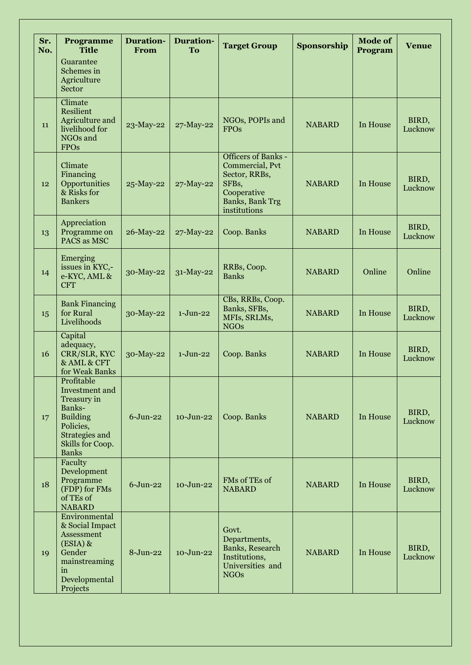| Sr.<br>No. | Programme<br><b>Title</b>                                                                                                                   | <b>Duration-</b><br>From | <b>Duration-</b><br>To | <b>Target Group</b>                                                                                                               | Sponsorship   | <b>Mode of</b><br>Program | <b>Venue</b>     |
|------------|---------------------------------------------------------------------------------------------------------------------------------------------|--------------------------|------------------------|-----------------------------------------------------------------------------------------------------------------------------------|---------------|---------------------------|------------------|
|            | Guarantee<br>Schemes in<br>Agriculture<br>Sector                                                                                            |                          |                        |                                                                                                                                   |               |                           |                  |
| 11         | Climate<br><b>Resilient</b><br>Agriculture and<br>livelihood for<br>NGOs and<br><b>FPOs</b>                                                 | 23-May-22                | 27-May-22              | NGOs, POPIs and<br><b>FPOs</b>                                                                                                    | <b>NABARD</b> | In House                  | BIRD,<br>Lucknow |
| 12         | Climate<br>Financing<br>Opportunities<br>& Risks for<br><b>Bankers</b>                                                                      | 25-May-22                | 27-May-22              | <b>Officers of Banks -</b><br>Commercial, Pvt<br>Sector, RRBs,<br>SFBs,<br>Cooperative<br><b>Banks</b> , Bank Trg<br>institutions | <b>NABARD</b> | In House                  | BIRD,<br>Lucknow |
| 13         | Appreciation<br>Programme on<br>PACS as MSC                                                                                                 | 26-May-22                | 27-May-22              | Coop. Banks                                                                                                                       | <b>NABARD</b> | In House                  | BIRD,<br>Lucknow |
| 14         | Emerging<br>issues in KYC,-<br>e-KYC, AML &<br><b>CFT</b>                                                                                   | 30-May-22                | 31-May-22              | RRBs, Coop.<br><b>Banks</b>                                                                                                       | <b>NABARD</b> | Online                    | Online           |
| 15         | <b>Bank Financing</b><br>for Rural<br>Livelihoods                                                                                           | 30-May-22                | $1-J$ un-22            | CBs, RRBs, Coop.<br>Banks, SFBs,<br>MFIs, SRLMs,<br><b>NGOs</b>                                                                   | <b>NABARD</b> | In House                  | BIRD,<br>Lucknow |
| 16         | Capital<br>adequacy,<br>CRR/SLR, KYC<br>& AML & CFT<br>for Weak Banks                                                                       | 30-May-22                | $1-J$ un-22            | Coop. Banks                                                                                                                       | <b>NABARD</b> | In House                  | BIRD,<br>Lucknow |
| 17         | Profitable<br>Investment and<br>Treasury in<br>Banks-<br><b>Building</b><br>Policies,<br>Strategies and<br>Skills for Coop.<br><b>Banks</b> | $6$ -Jun-22              | $10 - Jun-22$          | Coop. Banks                                                                                                                       | <b>NABARD</b> | In House                  | BIRD,<br>Lucknow |
| 18         | Faculty<br>Development<br>Programme<br>(FDP) for FMs<br>of TEs of<br><b>NABARD</b>                                                          | $6$ -Jun-22              | 10-Jun-22              | FMs of TEs of<br><b>NABARD</b>                                                                                                    | <b>NABARD</b> | In House                  | BIRD,<br>Lucknow |
| 19         | Environmental<br>& Social Impact<br>Assessment<br>$(ESIA)$ &<br>Gender<br>mainstreaming<br>in<br>Developmental<br>Projects                  | $8-Jun-22$               | 10-Jun-22              | Govt.<br>Departments,<br>Banks, Research<br>Institutions,<br>Universities and<br><b>NGOs</b>                                      | <b>NABARD</b> | In House                  | BIRD,<br>Lucknow |